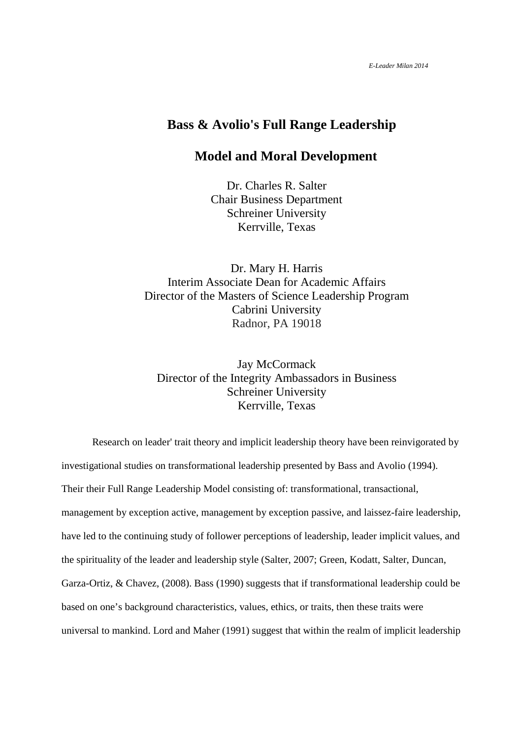# **Bass & Avolio's Full Range Leadership**

# **Model and Moral Development**

Dr. Charles R. Salter Chair Business Department Schreiner University Kerrville, Texas

Dr. Mary H. Harris Interim Associate Dean for Academic Affairs Director of the Masters of Science Leadership Program Cabrini University Radnor, PA 19018

Jay McCormack Director of the Integrity Ambassadors in Business Schreiner University Kerrville, Texas

Research on leader' trait theory and implicit leadership theory have been reinvigorated by investigational studies on transformational leadership presented by Bass and Avolio (1994). Their their Full Range Leadership Model consisting of: transformational, transactional, management by exception active, management by exception passive, and laissez-faire leadership, have led to the continuing study of follower perceptions of leadership, leader implicit values, and the spirituality of the leader and leadership style (Salter, 2007; Green, Kodatt, Salter, Duncan, Garza-Ortiz, & Chavez, (2008). Bass (1990) suggests that if transformational leadership could be based on one's background characteristics, values, ethics, or traits, then these traits were universal to mankind. Lord and Maher (1991) suggest that within the realm of implicit leadership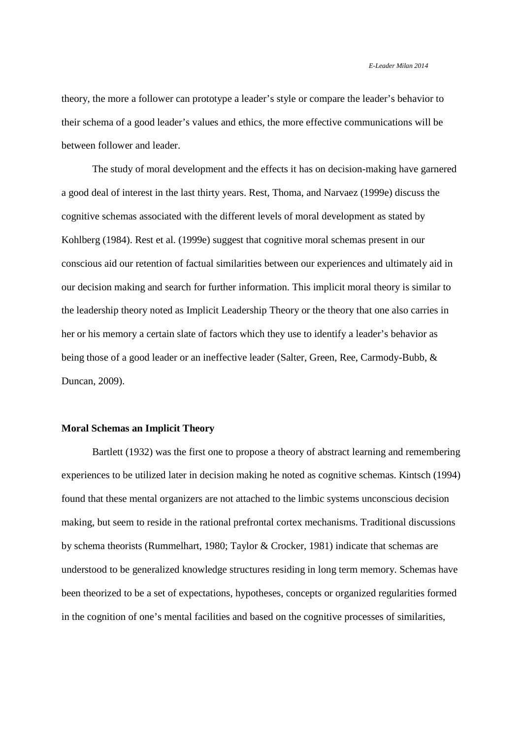theory, the more a follower can prototype a leader's style or compare the leader's behavior to their schema of a good leader's values and ethics, the more effective communications will be between follower and leader.

The study of moral development and the effects it has on decision-making have garnered a good deal of interest in the last thirty years. Rest, Thoma, and Narvaez (1999e) discuss the cognitive schemas associated with the different levels of moral development as stated by Kohlberg (1984). Rest et al. (1999e) suggest that cognitive moral schemas present in our conscious aid our retention of factual similarities between our experiences and ultimately aid in our decision making and search for further information. This implicit moral theory is similar to the leadership theory noted as Implicit Leadership Theory or the theory that one also carries in her or his memory a certain slate of factors which they use to identify a leader's behavior as being those of a good leader or an ineffective leader (Salter, Green, Ree, Carmody-Bubb, & Duncan, 2009).

# **Moral Schemas an Implicit Theory**

Bartlett (1932) was the first one to propose a theory of abstract learning and remembering experiences to be utilized later in decision making he noted as cognitive schemas. Kintsch (1994) found that these mental organizers are not attached to the limbic systems unconscious decision making, but seem to reside in the rational prefrontal cortex mechanisms. Traditional discussions by schema theorists (Rummelhart, 1980; Taylor & Crocker, 1981) indicate that schemas are understood to be generalized knowledge structures residing in long term memory. Schemas have been theorized to be a set of expectations, hypotheses, concepts or organized regularities formed in the cognition of one's mental facilities and based on the cognitive processes of similarities,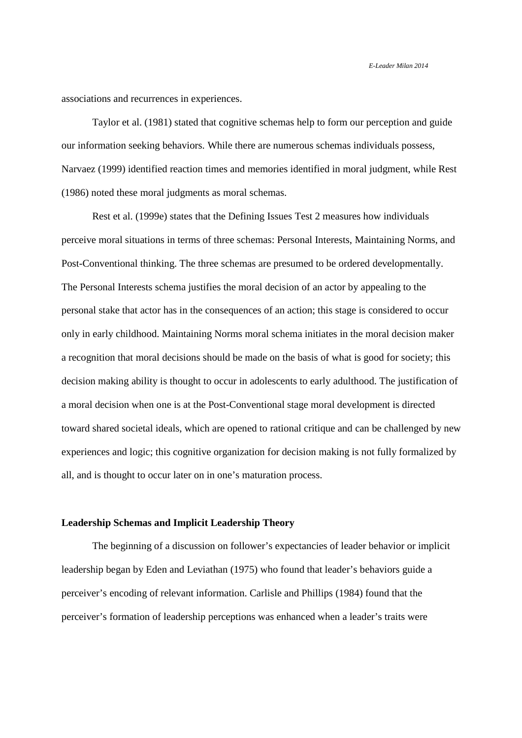associations and recurrences in experiences.

Taylor et al. (1981) stated that cognitive schemas help to form our perception and guide our information seeking behaviors. While there are numerous schemas individuals possess, Narvaez (1999) identified reaction times and memories identified in moral judgment, while Rest (1986) noted these moral judgments as moral schemas.

Rest et al. (1999e) states that the Defining Issues Test 2 measures how individuals perceive moral situations in terms of three schemas: Personal Interests, Maintaining Norms, and Post-Conventional thinking. The three schemas are presumed to be ordered developmentally. The Personal Interests schema justifies the moral decision of an actor by appealing to the personal stake that actor has in the consequences of an action; this stage is considered to occur only in early childhood. Maintaining Norms moral schema initiates in the moral decision maker a recognition that moral decisions should be made on the basis of what is good for society; this decision making ability is thought to occur in adolescents to early adulthood. The justification of a moral decision when one is at the Post-Conventional stage moral development is directed toward shared societal ideals, which are opened to rational critique and can be challenged by new experiences and logic; this cognitive organization for decision making is not fully formalized by all, and is thought to occur later on in one's maturation process.

#### **Leadership Schemas and Implicit Leadership Theory**

The beginning of a discussion on follower's expectancies of leader behavior or implicit leadership began by Eden and Leviathan (1975) who found that leader's behaviors guide a perceiver's encoding of relevant information. Carlisle and Phillips (1984) found that the perceiver's formation of leadership perceptions was enhanced when a leader's traits were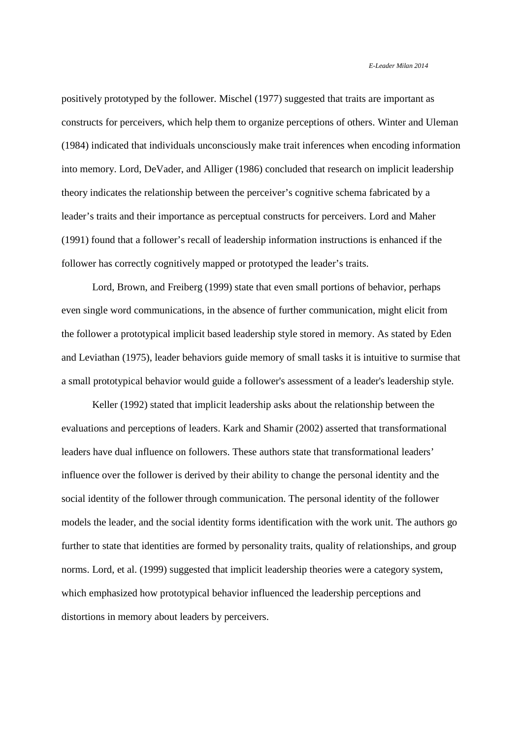positively prototyped by the follower. Mischel (1977) suggested that traits are important as constructs for perceivers, which help them to organize perceptions of others. Winter and Uleman (1984) indicated that individuals unconsciously make trait inferences when encoding information into memory. Lord, DeVader, and Alliger (1986) concluded that research on implicit leadership theory indicates the relationship between the perceiver's cognitive schema fabricated by a leader's traits and their importance as perceptual constructs for perceivers. Lord and Maher (1991) found that a follower's recall of leadership information instructions is enhanced if the follower has correctly cognitively mapped or prototyped the leader's traits.

Lord, Brown, and Freiberg (1999) state that even small portions of behavior, perhaps even single word communications, in the absence of further communication, might elicit from the follower a prototypical implicit based leadership style stored in memory. As stated by Eden and Leviathan (1975), leader behaviors guide memory of small tasks it is intuitive to surmise that a small prototypical behavior would guide a follower's assessment of a leader's leadership style.

Keller (1992) stated that implicit leadership asks about the relationship between the evaluations and perceptions of leaders. Kark and Shamir (2002) asserted that transformational leaders have dual influence on followers. These authors state that transformational leaders' influence over the follower is derived by their ability to change the personal identity and the social identity of the follower through communication. The personal identity of the follower models the leader, and the social identity forms identification with the work unit. The authors go further to state that identities are formed by personality traits, quality of relationships, and group norms. Lord, et al. (1999) suggested that implicit leadership theories were a category system, which emphasized how prototypical behavior influenced the leadership perceptions and distortions in memory about leaders by perceivers.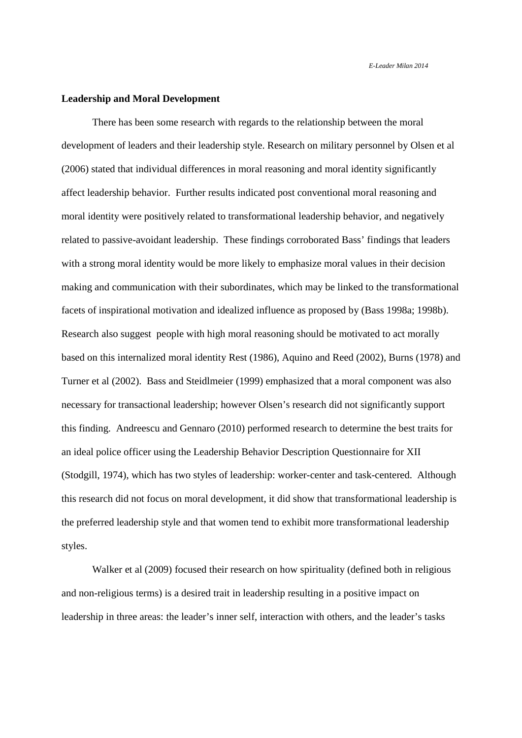## **Leadership and Moral Development**

There has been some research with regards to the relationship between the moral development of leaders and their leadership style. Research on military personnel by Olsen et al (2006) stated that individual differences in moral reasoning and moral identity significantly affect leadership behavior. Further results indicated post conventional moral reasoning and moral identity were positively related to transformational leadership behavior, and negatively related to passive-avoidant leadership. These findings corroborated Bass' findings that leaders with a strong moral identity would be more likely to emphasize moral values in their decision making and communication with their subordinates, which may be linked to the transformational facets of inspirational motivation and idealized influence as proposed by (Bass 1998a; 1998b). Research also suggest people with high moral reasoning should be motivated to act morally based on this internalized moral identity Rest (1986), Aquino and Reed (2002), Burns (1978) and Turner et al (2002). Bass and Steidlmeier (1999) emphasized that a moral component was also necessary for transactional leadership; however Olsen's research did not significantly support this finding. Andreescu and Gennaro (2010) performed research to determine the best traits for an ideal police officer using the Leadership Behavior Description Questionnaire for XII (Stodgill, 1974), which has two styles of leadership: worker-center and task-centered. Although this research did not focus on moral development, it did show that transformational leadership is the preferred leadership style and that women tend to exhibit more transformational leadership styles.

Walker et al (2009) focused their research on how spirituality (defined both in religious and non-religious terms) is a desired trait in leadership resulting in a positive impact on leadership in three areas: the leader's inner self, interaction with others, and the leader's tasks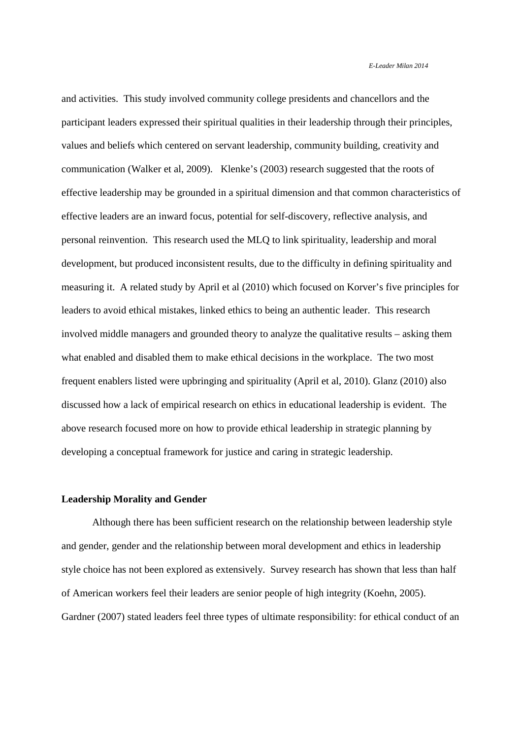and activities. This study involved community college presidents and chancellors and the participant leaders expressed their spiritual qualities in their leadership through their principles, values and beliefs which centered on servant leadership, community building, creativity and communication (Walker et al, 2009). Klenke's (2003) research suggested that the roots of effective leadership may be grounded in a spiritual dimension and that common characteristics of effective leaders are an inward focus, potential for self-discovery, reflective analysis, and personal reinvention. This research used the MLQ to link spirituality, leadership and moral development, but produced inconsistent results, due to the difficulty in defining spirituality and measuring it. A related study by April et al (2010) which focused on Korver's five principles for leaders to avoid ethical mistakes, linked ethics to being an authentic leader. This research involved middle managers and grounded theory to analyze the qualitative results – asking them what enabled and disabled them to make ethical decisions in the workplace. The two most frequent enablers listed were upbringing and spirituality (April et al, 2010). Glanz (2010) also discussed how a lack of empirical research on ethics in educational leadership is evident. The above research focused more on how to provide ethical leadership in strategic planning by developing a conceptual framework for justice and caring in strategic leadership.

#### **Leadership Morality and Gender**

Although there has been sufficient research on the relationship between leadership style and gender, gender and the relationship between moral development and ethics in leadership style choice has not been explored as extensively. Survey research has shown that less than half of American workers feel their leaders are senior people of high integrity (Koehn, 2005). Gardner (2007) stated leaders feel three types of ultimate responsibility: for ethical conduct of an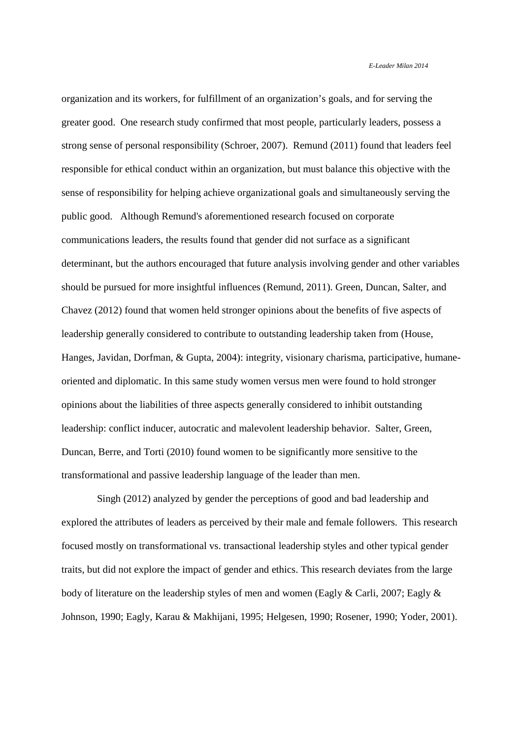organization and its workers, for fulfillment of an organization's goals, and for serving the greater good. One research study confirmed that most people, particularly leaders, possess a strong sense of personal responsibility (Schroer, 2007). Remund (2011) found that leaders feel responsible for ethical conduct within an organization, but must balance this objective with the sense of responsibility for helping achieve organizational goals and simultaneously serving the public good. Although Remund's aforementioned research focused on corporate communications leaders, the results found that gender did not surface as a significant determinant, but the authors encouraged that future analysis involving gender and other variables should be pursued for more insightful influences (Remund, 2011). Green, Duncan, Salter, and Chavez (2012) found that women held stronger opinions about the benefits of five aspects of leadership generally considered to contribute to outstanding leadership taken from (House, Hanges, Javidan, Dorfman, & Gupta, 2004): integrity, visionary charisma, participative, humaneoriented and diplomatic. In this same study women versus men were found to hold stronger opinions about the liabilities of three aspects generally considered to inhibit outstanding leadership: conflict inducer, autocratic and malevolent leadership behavior. Salter, Green, Duncan, Berre, and Torti (2010) found women to be significantly more sensitive to the transformational and passive leadership language of the leader than men.

 Singh (2012) analyzed by gender the perceptions of good and bad leadership and explored the attributes of leaders as perceived by their male and female followers. This research focused mostly on transformational vs. transactional leadership styles and other typical gender traits, but did not explore the impact of gender and ethics. This research deviates from the large body of literature on the leadership styles of men and women (Eagly & Carli, 2007; Eagly & Johnson, 1990; Eagly, Karau & Makhijani, 1995; Helgesen, 1990; Rosener, 1990; Yoder, 2001).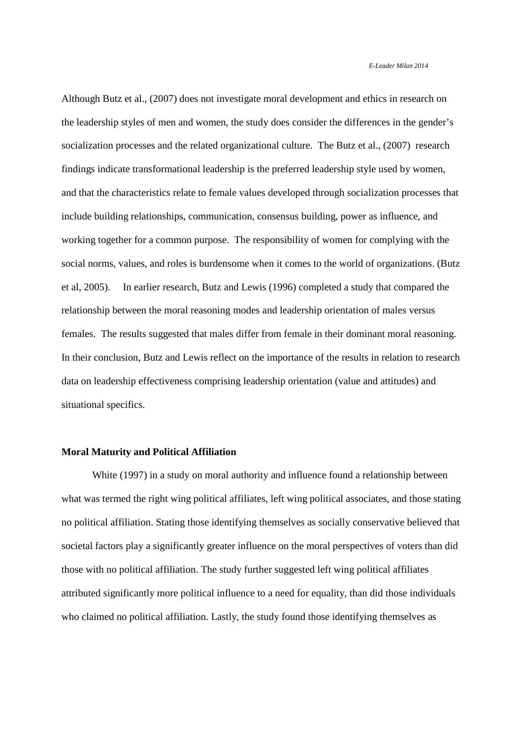Although Butz et al., (2007) does not investigate moral development and ethics in research on the leadership styles of men and women, the study does consider the differences in the gender's socialization processes and the related organizational culture. The Butz et al., (2007) research findings indicate transformational leadership is the preferred leadership style used by women, and that the characteristics relate to female values developed through socialization processes that include building relationships, communication, consensus building, power as influence, and working together for a common purpose. The responsibility of women for complying with the social norms, values, and roles is burdensome when it comes to the world of organizations. (Butz et al, 2005). In earlier research, Butz and Lewis (1996) completed a study that compared the relationship between the moral reasoning modes and leadership orientation of males versus females. The results suggested that males differ from female in their dominant moral reasoning. In their conclusion, Butz and Lewis reflect on the importance of the results in relation to research data on leadership effectiveness comprising leadership orientation (value and attitudes) and situational specifics.

#### **Moral Maturity and Political Affiliation**

White (1997) in a study on moral authority and influence found a relationship between what was termed the right wing political affiliates, left wing political associates, and those stating no political affiliation. Stating those identifying themselves as socially conservative believed that societal factors play a significantly greater influence on the moral perspectives of voters than did those with no political affiliation. The study further suggested left wing political affiliates attributed significantly more political influence to a need for equality, than did those individuals who claimed no political affiliation. Lastly, the study found those identifying themselves as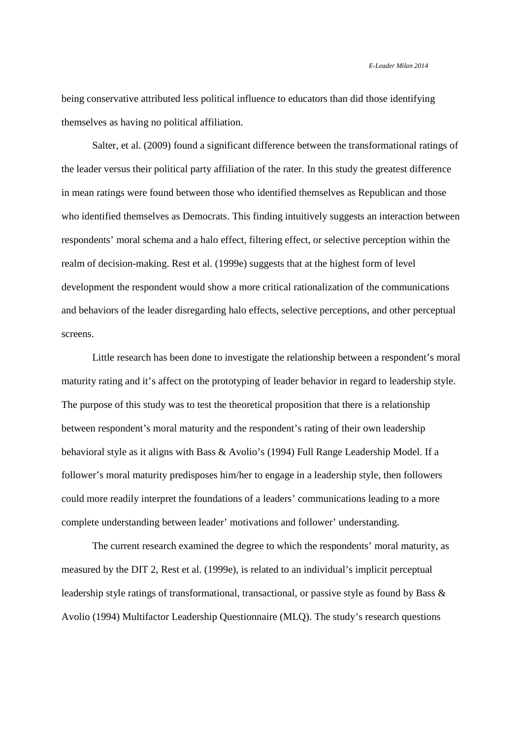being conservative attributed less political influence to educators than did those identifying themselves as having no political affiliation.

Salter, et al. (2009) found a significant difference between the transformational ratings of the leader versus their political party affiliation of the rater. In this study the greatest difference in mean ratings were found between those who identified themselves as Republican and those who identified themselves as Democrats. This finding intuitively suggests an interaction between respondents' moral schema and a halo effect, filtering effect, or selective perception within the realm of decision-making. Rest et al. (1999e) suggests that at the highest form of level development the respondent would show a more critical rationalization of the communications and behaviors of the leader disregarding halo effects, selective perceptions, and other perceptual screens.

Little research has been done to investigate the relationship between a respondent's moral maturity rating and it's affect on the prototyping of leader behavior in regard to leadership style. The purpose of this study was to test the theoretical proposition that there is a relationship between respondent's moral maturity and the respondent's rating of their own leadership behavioral style as it aligns with Bass & Avolio's (1994) Full Range Leadership Model. If a follower's moral maturity predisposes him/her to engage in a leadership style, then followers could more readily interpret the foundations of a leaders' communications leading to a more complete understanding between leader' motivations and follower' understanding.

The current research examined the degree to which the respondents' moral maturity, as measured by the DIT 2, Rest et al. (1999e), is related to an individual's implicit perceptual leadership style ratings of transformational, transactional, or passive style as found by Bass & Avolio (1994) Multifactor Leadership Questionnaire (MLQ). The study's research questions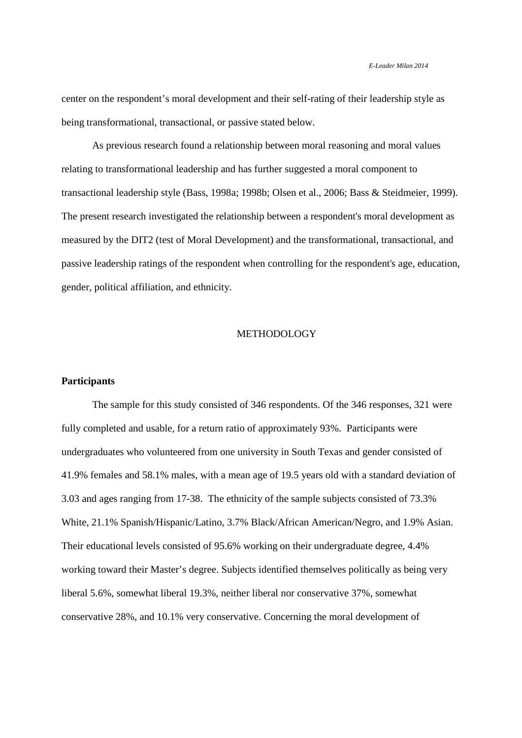center on the respondent's moral development and their self-rating of their leadership style as being transformational, transactional, or passive stated below.

As previous research found a relationship between moral reasoning and moral values relating to transformational leadership and has further suggested a moral component to transactional leadership style (Bass, 1998a; 1998b; Olsen et al., 2006; Bass & Steidmeier, 1999). The present research investigated the relationship between a respondent's moral development as measured by the DIT2 (test of Moral Development) and the transformational, transactional, and passive leadership ratings of the respondent when controlling for the respondent's age, education, gender, political affiliation, and ethnicity.

#### METHODOLOGY

#### **Participants**

The sample for this study consisted of 346 respondents. Of the 346 responses, 321 were fully completed and usable, for a return ratio of approximately 93%. Participants were undergraduates who volunteered from one university in South Texas and gender consisted of 41.9% females and 58.1% males, with a mean age of 19.5 years old with a standard deviation of 3.03 and ages ranging from 17-38. The ethnicity of the sample subjects consisted of 73.3% White, 21.1% Spanish/Hispanic/Latino, 3.7% Black/African American/Negro, and 1.9% Asian. Their educational levels consisted of 95.6% working on their undergraduate degree, 4.4% working toward their Master's degree. Subjects identified themselves politically as being very liberal 5.6%, somewhat liberal 19.3%, neither liberal nor conservative 37%, somewhat conservative 28%, and 10.1% very conservative. Concerning the moral development of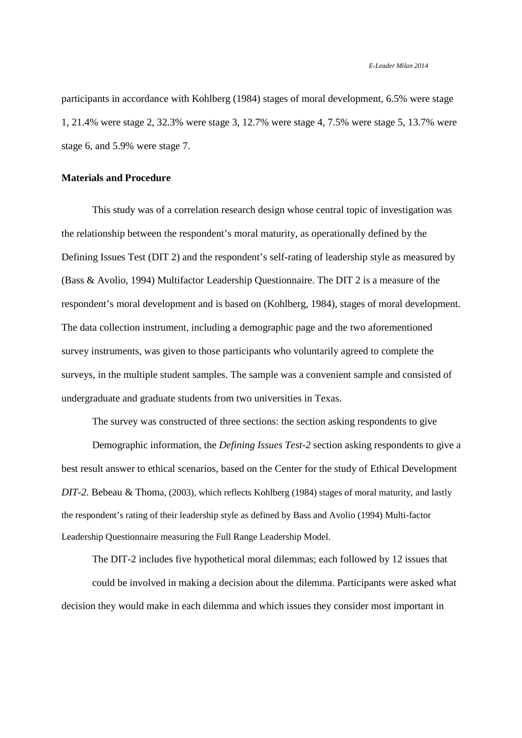participants in accordance with Kohlberg (1984) stages of moral development, 6.5% were stage 1, 21.4% were stage 2, 32.3% were stage 3, 12.7% were stage 4, 7.5% were stage 5, 13.7% were stage 6, and 5.9% were stage 7.

# **Materials and Procedure**

This study was of a correlation research design whose central topic of investigation was the relationship between the respondent's moral maturity, as operationally defined by the Defining Issues Test (DIT 2) and the respondent's self-rating of leadership style as measured by (Bass & Avolio, 1994) Multifactor Leadership Questionnaire. The DIT 2 is a measure of the respondent's moral development and is based on (Kohlberg, 1984), stages of moral development. The data collection instrument, including a demographic page and the two aforementioned survey instruments, was given to those participants who voluntarily agreed to complete the surveys, in the multiple student samples. The sample was a convenient sample and consisted of undergraduate and graduate students from two universities in Texas.

The survey was constructed of three sections: the section asking respondents to give

Demographic information, the *Defining Issues Test-2* section asking respondents to give a best result answer to ethical scenarios, based on the Center for the study of Ethical Development *DIT-2.* Bebeau & Thoma, (2003), which reflects Kohlberg (1984) stages of moral maturity, and lastly the respondent's rating of their leadership style as defined by Bass and Avolio (1994) Multi-factor Leadership Questionnaire measuring the Full Range Leadership Model.

The DIT-2 includes five hypothetical moral dilemmas; each followed by 12 issues that could be involved in making a decision about the dilemma. Participants were asked what decision they would make in each dilemma and which issues they consider most important in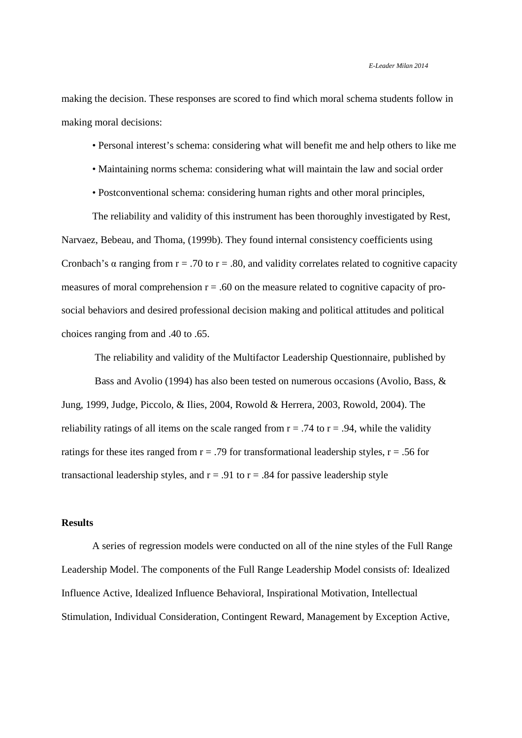making the decision. These responses are scored to find which moral schema students follow in making moral decisions:

- Personal interest's schema: considering what will benefit me and help others to like me
- Maintaining norms schema: considering what will maintain the law and social order
- Postconventional schema: considering human rights and other moral principles,

The reliability and validity of this instrument has been thoroughly investigated by Rest, Narvaez, Bebeau, and Thoma, (1999b). They found internal consistency coefficients using Cronbach's  $\alpha$  ranging from r = .70 to r = .80, and validity correlates related to cognitive capacity measures of moral comprehension  $r = .60$  on the measure related to cognitive capacity of prosocial behaviors and desired professional decision making and political attitudes and political choices ranging from and .40 to .65.

 The reliability and validity of the Multifactor Leadership Questionnaire, published by Bass and Avolio (1994) has also been tested on numerous occasions (Avolio, Bass, & Jung, 1999, Judge, Piccolo, & Ilies, 2004, Rowold & Herrera, 2003, Rowold, 2004). The reliability ratings of all items on the scale ranged from  $r = .74$  to  $r = .94$ , while the validity ratings for these ites ranged from  $r = .79$  for transformational leadership styles,  $r = .56$  for transactional leadership styles, and  $r = .91$  to  $r = .84$  for passive leadership style

# **Results**

A series of regression models were conducted on all of the nine styles of the Full Range Leadership Model. The components of the Full Range Leadership Model consists of: Idealized Influence Active, Idealized Influence Behavioral, Inspirational Motivation, Intellectual Stimulation, Individual Consideration, Contingent Reward, Management by Exception Active,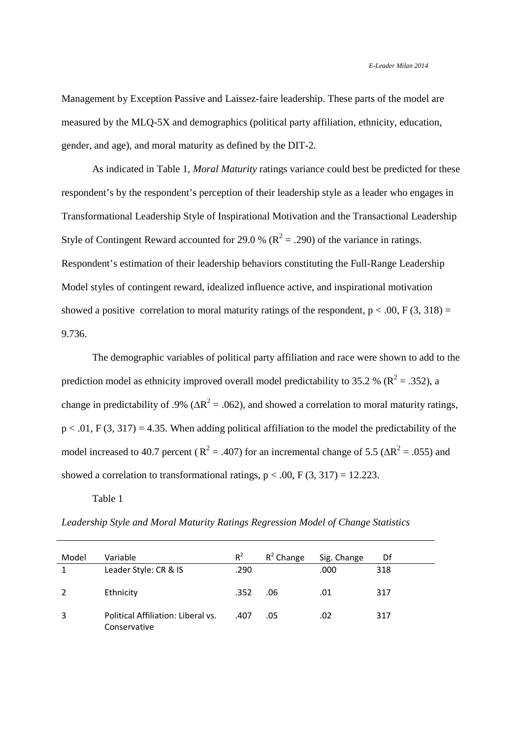Management by Exception Passive and Laissez-faire leadership. These parts of the model are measured by the MLQ-5X and demographics (political party affiliation, ethnicity, education, gender, and age), and moral maturity as defined by the DIT-2.

As indicated in Table 1, *Moral Maturity* ratings variance could best be predicted for these respondent's by the respondent's perception of their leadership style as a leader who engages in Transformational Leadership Style of Inspirational Motivation and the Transactional Leadership Style of Contingent Reward accounted for 29.0 % ( $R^2 = .290$ ) of the variance in ratings. Respondent's estimation of their leadership behaviors constituting the Full-Range Leadership Model styles of contingent reward, idealized influence active, and inspirational motivation showed a positive correlation to moral maturity ratings of the respondent,  $p < .00$ ,  $F(3, 318) =$ 9.736.

The demographic variables of political party affiliation and race were shown to add to the prediction model as ethnicity improved overall model predictability to 35.2 % ( $\mathbb{R}^2$  = .352), a change in predictability of .9% ( $\Delta R^2$  = .062), and showed a correlation to moral maturity ratings,  $p < .01$ , F (3, 317) = 4.35. When adding political affiliation to the model the predictability of the model increased to 40.7 percent ( $R^2 = .407$ ) for an incremental change of 5.5 ( $\Delta R^2 = .055$ ) and showed a correlation to transformational ratings,  $p < .00$ ,  $F(3, 317) = 12.223$ .

Table 1

*Leadership Style and Moral Maturity Ratings Regression Model of Change Statistics* 

| Model | Variable                                           | $R^2$ | $R^2$ Change | Sig. Change | Df  |
|-------|----------------------------------------------------|-------|--------------|-------------|-----|
|       | Leader Style: CR & IS                              | .290  |              | .000        | 318 |
|       | Ethnicity                                          | .352  | .06          | .01         | 317 |
| 3     | Political Affiliation: Liberal vs.<br>Conservative | .407  | .05          | .02         | 317 |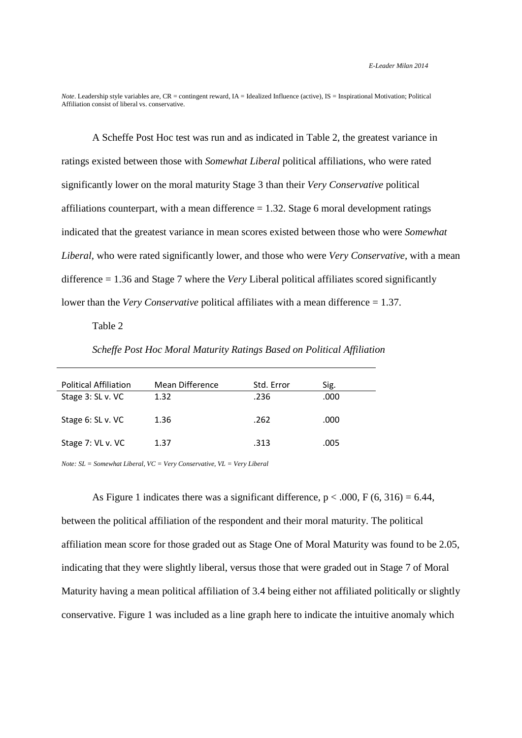*Note*, Leadership style variables are, CR = contingent reward, IA = Idealized Influence (active), IS = Inspirational Motivation; Political Affiliation consist of liberal vs. conservative.

A Scheffe Post Hoc test was run and as indicated in Table 2, the greatest variance in ratings existed between those with *Somewhat Liberal* political affiliations, who were rated significantly lower on the moral maturity Stage 3 than their *Very Conservative* political affiliations counterpart, with a mean difference  $= 1.32$ . Stage 6 moral development ratings indicated that the greatest variance in mean scores existed between those who were *Somewhat Liberal,* who were rated significantly lower*,* and those who were *Very Conservative,* with a mean difference = 1.36 and Stage 7 where the *Very* Liberal political affiliates scored significantly lower than the *Very Conservative* political affiliates with a mean difference = 1.37.

# Table 2

*Scheffe Post Hoc Moral Maturity Ratings Based on Political Affiliation* 

| <b>Political Affiliation</b> | Mean Difference | Std. Error | Sig. |
|------------------------------|-----------------|------------|------|
| Stage 3: SL v. VC            | 1.32            | .236       | .000 |
| Stage 6: SL v. VC            | 1.36            | .262       | .000 |
| Stage 7: VL v. VC            | 1.37            | .313       | .005 |

*Note: SL = Somewhat Liberal, VC = Very Conservative, VL = Very Liberal* 

As Figure 1 indicates there was a significant difference,  $p < .000$ , F (6, 316) = 6.44, between the political affiliation of the respondent and their moral maturity. The political affiliation mean score for those graded out as Stage One of Moral Maturity was found to be 2.05, indicating that they were slightly liberal, versus those that were graded out in Stage 7 of Moral Maturity having a mean political affiliation of 3.4 being either not affiliated politically or slightly conservative. Figure 1 was included as a line graph here to indicate the intuitive anomaly which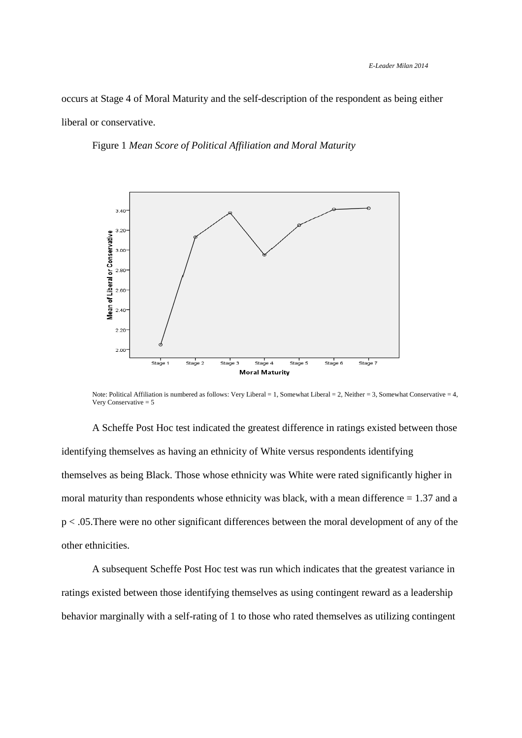occurs at Stage 4 of Moral Maturity and the self-description of the respondent as being either liberal or conservative.

Figure 1 *Mean Score of Political Affiliation and Moral Maturity* 



Note: Political Affiliation is numbered as follows: Very Liberal = 1, Somewhat Liberal = 2, Neither = 3, Somewhat Conservative = 4, Very Conservative = 5

A Scheffe Post Hoc test indicated the greatest difference in ratings existed between those identifying themselves as having an ethnicity of White versus respondents identifying themselves as being Black. Those whose ethnicity was White were rated significantly higher in moral maturity than respondents whose ethnicity was black, with a mean difference  $= 1.37$  and a p < .05.There were no other significant differences between the moral development of any of the other ethnicities.

 A subsequent Scheffe Post Hoc test was run which indicates that the greatest variance in ratings existed between those identifying themselves as using contingent reward as a leadership behavior marginally with a self-rating of 1 to those who rated themselves as utilizing contingent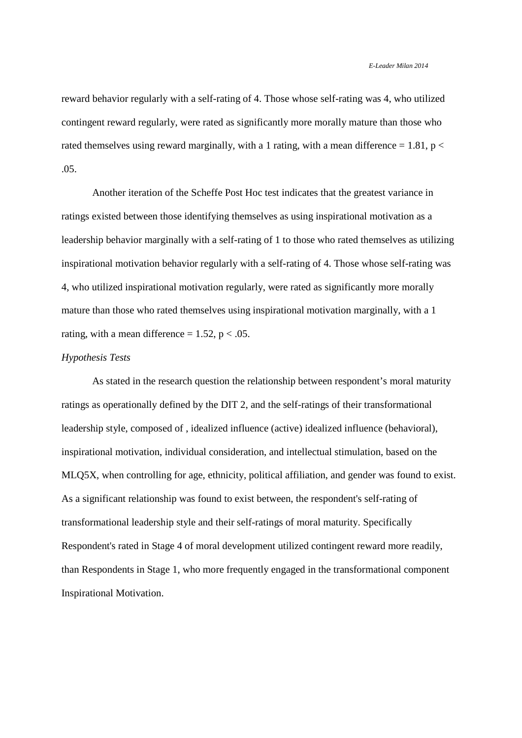reward behavior regularly with a self-rating of 4. Those whose self-rating was 4, who utilized contingent reward regularly, were rated as significantly more morally mature than those who rated themselves using reward marginally, with a 1 rating, with a mean difference =  $1.81$ , p < .05.

Another iteration of the Scheffe Post Hoc test indicates that the greatest variance in ratings existed between those identifying themselves as using inspirational motivation as a leadership behavior marginally with a self-rating of 1 to those who rated themselves as utilizing inspirational motivation behavior regularly with a self-rating of 4. Those whose self-rating was 4, who utilized inspirational motivation regularly, were rated as significantly more morally mature than those who rated themselves using inspirational motivation marginally, with a 1 rating, with a mean difference  $= 1.52$ ,  $p < .05$ .

#### *Hypothesis Tests*

As stated in the research question the relationship between respondent's moral maturity ratings as operationally defined by the DIT 2, and the self-ratings of their transformational leadership style, composed of , idealized influence (active) idealized influence (behavioral), inspirational motivation, individual consideration, and intellectual stimulation, based on the MLQ5X, when controlling for age, ethnicity, political affiliation, and gender was found to exist. As a significant relationship was found to exist between, the respondent's self-rating of transformational leadership style and their self-ratings of moral maturity. Specifically Respondent's rated in Stage 4 of moral development utilized contingent reward more readily, than Respondents in Stage 1, who more frequently engaged in the transformational component Inspirational Motivation.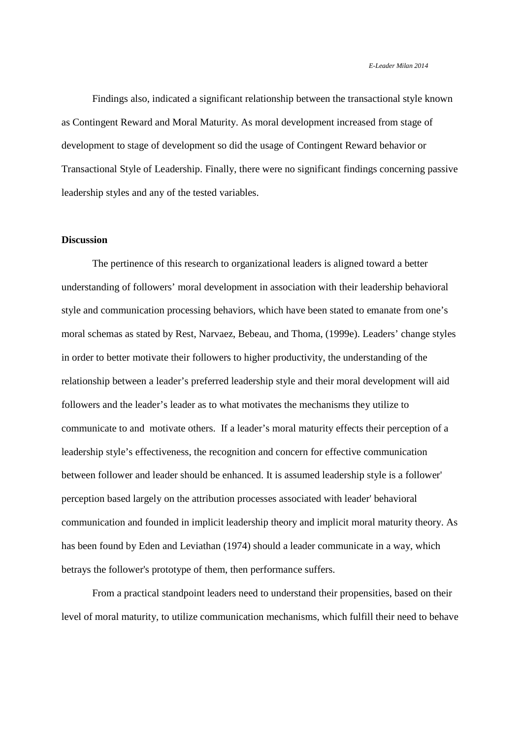Findings also, indicated a significant relationship between the transactional style known as Contingent Reward and Moral Maturity. As moral development increased from stage of development to stage of development so did the usage of Contingent Reward behavior or Transactional Style of Leadership. Finally, there were no significant findings concerning passive leadership styles and any of the tested variables.

# **Discussion**

The pertinence of this research to organizational leaders is aligned toward a better understanding of followers' moral development in association with their leadership behavioral style and communication processing behaviors, which have been stated to emanate from one's moral schemas as stated by Rest, Narvaez, Bebeau, and Thoma, (1999e). Leaders' change styles in order to better motivate their followers to higher productivity, the understanding of the relationship between a leader's preferred leadership style and their moral development will aid followers and the leader's leader as to what motivates the mechanisms they utilize to communicate to and motivate others. If a leader's moral maturity effects their perception of a leadership style's effectiveness, the recognition and concern for effective communication between follower and leader should be enhanced. It is assumed leadership style is a follower' perception based largely on the attribution processes associated with leader' behavioral communication and founded in implicit leadership theory and implicit moral maturity theory. As has been found by Eden and Leviathan (1974) should a leader communicate in a way, which betrays the follower's prototype of them, then performance suffers.

From a practical standpoint leaders need to understand their propensities, based on their level of moral maturity, to utilize communication mechanisms, which fulfill their need to behave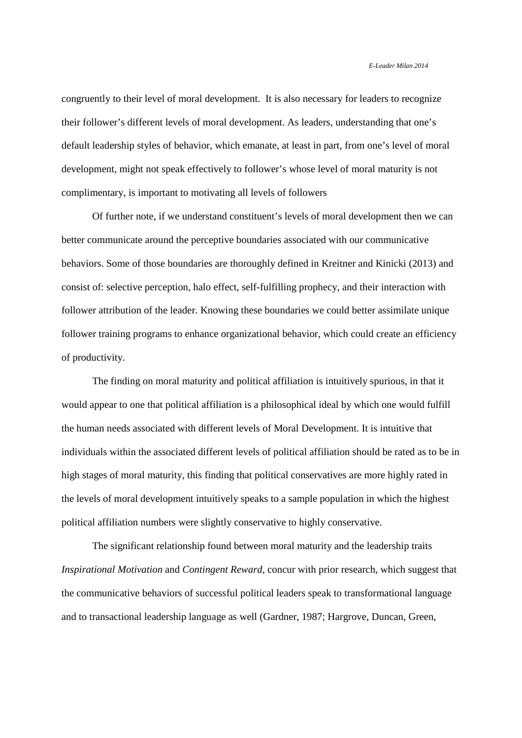congruently to their level of moral development. It is also necessary for leaders to recognize their follower's different levels of moral development. As leaders, understanding that one's default leadership styles of behavior, which emanate, at least in part, from one's level of moral development, might not speak effectively to follower's whose level of moral maturity is not complimentary, is important to motivating all levels of followers

Of further note, if we understand constituent's levels of moral development then we can better communicate around the perceptive boundaries associated with our communicative behaviors. Some of those boundaries are thoroughly defined in Kreitner and Kinicki (2013) and consist of: selective perception, halo effect, self-fulfilling prophecy, and their interaction with follower attribution of the leader. Knowing these boundaries we could better assimilate unique follower training programs to enhance organizational behavior, which could create an efficiency of productivity.

The finding on moral maturity and political affiliation is intuitively spurious, in that it would appear to one that political affiliation is a philosophical ideal by which one would fulfill the human needs associated with different levels of Moral Development. It is intuitive that individuals within the associated different levels of political affiliation should be rated as to be in high stages of moral maturity, this finding that political conservatives are more highly rated in the levels of moral development intuitively speaks to a sample population in which the highest political affiliation numbers were slightly conservative to highly conservative.

The significant relationship found between moral maturity and the leadership traits *Inspirational Motivation* and *Contingent Reward,* concur with prior research, which suggest that the communicative behaviors of successful political leaders speak to transformational language and to transactional leadership language as well (Gardner, 1987; Hargrove, Duncan, Green,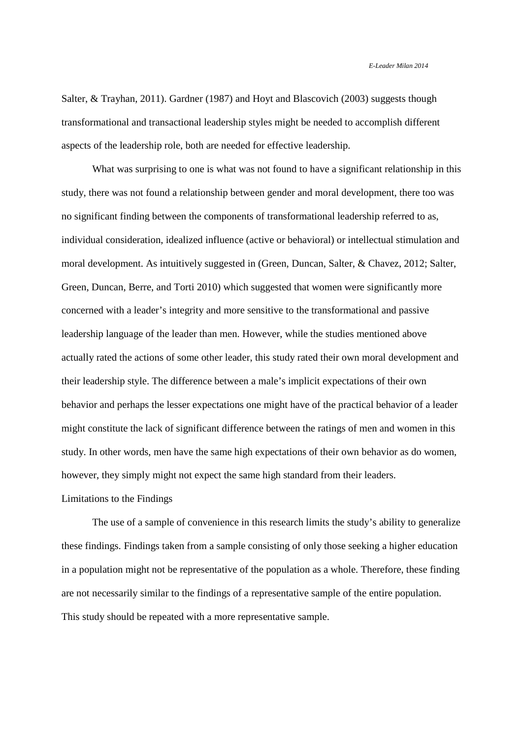Salter, & Trayhan, 2011). Gardner (1987) and Hoyt and Blascovich (2003) suggests though transformational and transactional leadership styles might be needed to accomplish different aspects of the leadership role, both are needed for effective leadership.

What was surprising to one is what was not found to have a significant relationship in this study, there was not found a relationship between gender and moral development, there too was no significant finding between the components of transformational leadership referred to as, individual consideration, idealized influence (active or behavioral) or intellectual stimulation and moral development. As intuitively suggested in (Green, Duncan, Salter, & Chavez, 2012; Salter, Green, Duncan, Berre, and Torti 2010) which suggested that women were significantly more concerned with a leader's integrity and more sensitive to the transformational and passive leadership language of the leader than men. However, while the studies mentioned above actually rated the actions of some other leader, this study rated their own moral development and their leadership style. The difference between a male's implicit expectations of their own behavior and perhaps the lesser expectations one might have of the practical behavior of a leader might constitute the lack of significant difference between the ratings of men and women in this study. In other words, men have the same high expectations of their own behavior as do women, however, they simply might not expect the same high standard from their leaders. Limitations to the Findings

The use of a sample of convenience in this research limits the study's ability to generalize these findings. Findings taken from a sample consisting of only those seeking a higher education in a population might not be representative of the population as a whole. Therefore, these finding are not necessarily similar to the findings of a representative sample of the entire population. This study should be repeated with a more representative sample.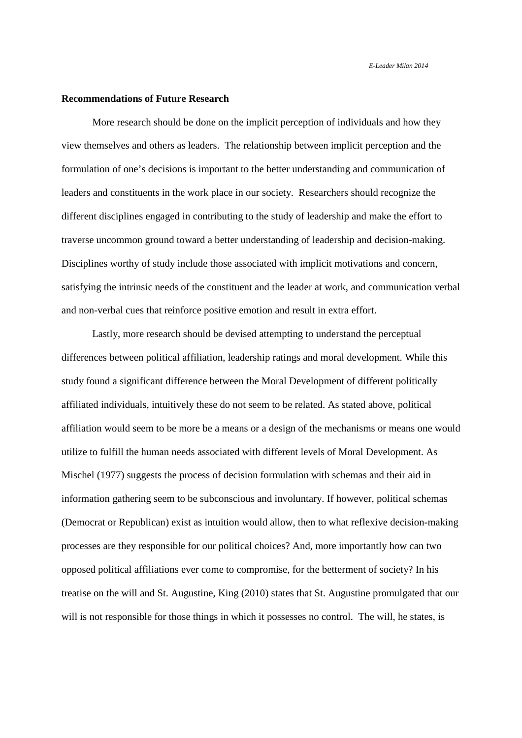## **Recommendations of Future Research**

More research should be done on the implicit perception of individuals and how they view themselves and others as leaders. The relationship between implicit perception and the formulation of one's decisions is important to the better understanding and communication of leaders and constituents in the work place in our society. Researchers should recognize the different disciplines engaged in contributing to the study of leadership and make the effort to traverse uncommon ground toward a better understanding of leadership and decision-making. Disciplines worthy of study include those associated with implicit motivations and concern, satisfying the intrinsic needs of the constituent and the leader at work, and communication verbal and non-verbal cues that reinforce positive emotion and result in extra effort.

Lastly, more research should be devised attempting to understand the perceptual differences between political affiliation, leadership ratings and moral development. While this study found a significant difference between the Moral Development of different politically affiliated individuals, intuitively these do not seem to be related. As stated above, political affiliation would seem to be more be a means or a design of the mechanisms or means one would utilize to fulfill the human needs associated with different levels of Moral Development. As Mischel (1977) suggests the process of decision formulation with schemas and their aid in information gathering seem to be subconscious and involuntary. If however, political schemas (Democrat or Republican) exist as intuition would allow, then to what reflexive decision-making processes are they responsible for our political choices? And, more importantly how can two opposed political affiliations ever come to compromise, for the betterment of society? In his treatise on the will and St. Augustine, King (2010) states that St. Augustine promulgated that our will is not responsible for those things in which it possesses no control. The will, he states, is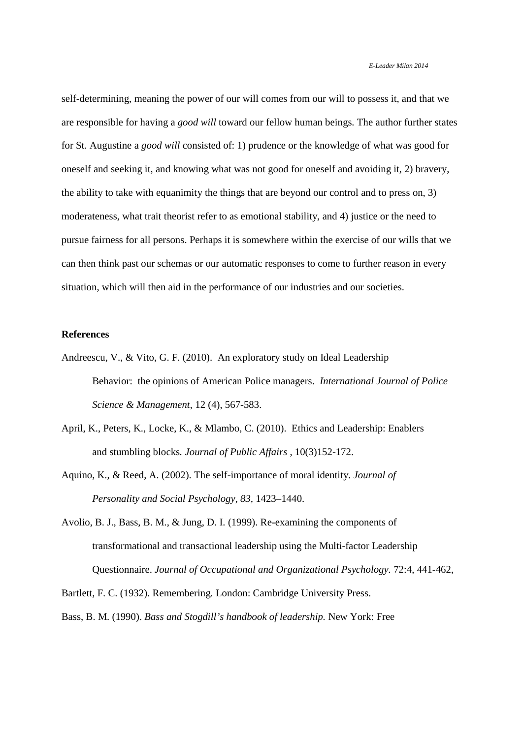self-determining, meaning the power of our will comes from our will to possess it, and that we are responsible for having a *good will* toward our fellow human beings. The author further states for St. Augustine a *good will* consisted of: 1) prudence or the knowledge of what was good for oneself and seeking it, and knowing what was not good for oneself and avoiding it, 2) bravery, the ability to take with equanimity the things that are beyond our control and to press on, 3) moderateness, what trait theorist refer to as emotional stability, and 4) justice or the need to pursue fairness for all persons. Perhaps it is somewhere within the exercise of our wills that we can then think past our schemas or our automatic responses to come to further reason in every situation, which will then aid in the performance of our industries and our societies.

## **References**

- Andreescu, V., & Vito, G. F. (2010). An exploratory study on Ideal Leadership Behavior: the opinions of American Police managers. *International Journal of Police Science & Management*, 12 (4), 567-583.
- April, K., Peters, K., Locke, K., & Mlambo, C. (2010). Ethics and Leadership: Enablers and stumbling blocks*. Journal of Public Affairs* , 10(3)152-172.
- Aquino, K., & Reed, A. (2002). The self-importance of moral identity. *Journal of Personality and Social Psychology, 83,* 1423–1440.
- Avolio, B. J., Bass, B. M., & Jung, D. I. (1999). Re-examining the components of transformational and transactional leadership using the Multi-factor Leadership Questionnaire. *Journal of Occupational and Organizational Psychology.* 72:4, 441-462,

Bartlett, F. C. (1932). Remembering. London: Cambridge University Press.

Bass, B. M. (1990). *Bass and Stogdill's handbook of leadership.* New York: Free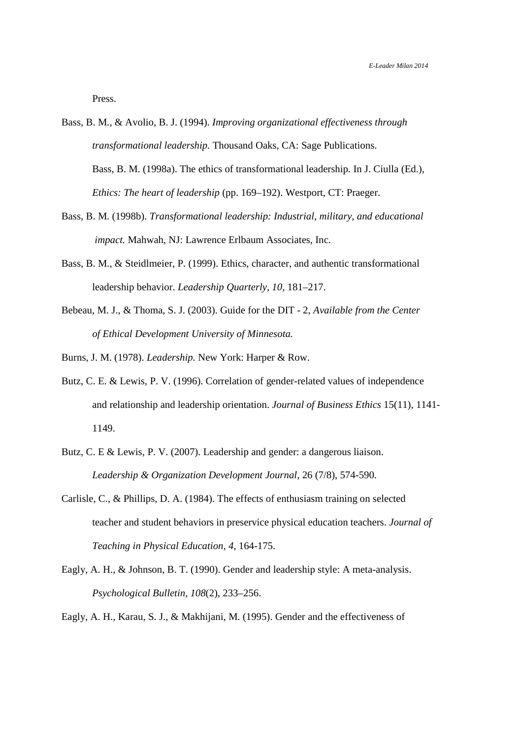Press.

- Bass, B. M., & Avolio, B. J. (1994). *Improving organizational effectiveness through transformational leadership.* Thousand Oaks, CA: Sage Publications. Bass, B. M. (1998a). The ethics of transformational leadership. In J. Ciulla (Ed.), *Ethics: The heart of leadership* (pp. 169–192). Westport, CT: Praeger.
- Bass, B. M. (1998b). *Transformational leadership: Industrial, military, and educational impact.* Mahwah, NJ: Lawrence Erlbaum Associates, Inc.
- Bass, B. M., & Steidlmeier, P. (1999). Ethics, character, and authentic transformational leadership behavior. *Leadership Quarterly, 10,* 181–217.
- Bebeau, M. J., & Thoma, S. J. (2003). Guide for the DIT 2, *Available from the Center of Ethical Development University of Minnesota.*
- Burns, J. M. (1978). *Leadership.* New York: Harper & Row.
- Butz, C. E. & Lewis, P. V. (1996). Correlation of gender-related values of independence and relationship and leadership orientation. *Journal of Business Ethics* 15(11), 1141- 1149.
- Butz, C. E & Lewis, P. V. (2007). Leadership and gender: a dangerous liaison. *Leadership & Organization Development Journal,* 26 (7/8), 574-590.
- Carlisle, C., & Phillips, D. A. (1984). The effects of enthusiasm training on selected teacher and student behaviors in preservice physical education teachers. *Journal of Teaching in Physical Education, 4,* 164-175.
- Eagly, A. H., & Johnson, B. T. (1990). Gender and leadership style: A meta-analysis. *Psychological Bulletin, 108*(2), 233–256.

Eagly, A. H., Karau, S. J., & Makhijani, M. (1995). Gender and the effectiveness of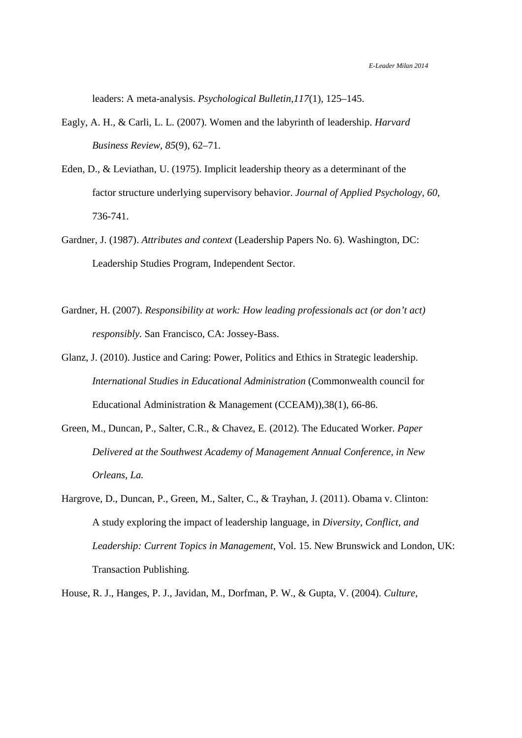leaders: A meta-analysis. *Psychological Bulletin,117*(1), 125–145.

- Eagly, A. H., & Carli, L. L. (2007). Women and the labyrinth of leadership. *Harvard Business Review, 85*(9), 62–71.
- Eden, D., & Leviathan, U. (1975). Implicit leadership theory as a determinant of the factor structure underlying supervisory behavior. *Journal of Applied Psychology*, *60,* 736-741.
- Gardner, J. (1987). *Attributes and context* (Leadership Papers No. 6). Washington, DC: Leadership Studies Program, Independent Sector.
- Gardner, H. (2007). *Responsibility at work: How leading professionals act (or don't act) responsibly.* San Francisco, CA: Jossey-Bass.
- Glanz, J. (2010). Justice and Caring: Power, Politics and Ethics in Strategic leadership. *International Studies in Educational Administration* (Commonwealth council for Educational Administration & Management (CCEAM)),38(1), 66-86.
- Green, M., Duncan, P., Salter, C.R., & Chavez, E. (2012). The Educated Worker. *Paper Delivered at the Southwest Academy of Management Annual Conference, in New Orleans, La.*
- Hargrove, D., Duncan, P., Green, M., Salter, C., & Trayhan, J. (2011). Obama v. Clinton: A study exploring the impact of leadership language, in *Diversity, Conflict, and Leadership: Current Topics in Management,* Vol. 15. New Brunswick and London, UK: Transaction Publishing.

House, R. J., Hanges, P. J., Javidan, M., Dorfman, P. W., & Gupta, V. (2004). *Culture,*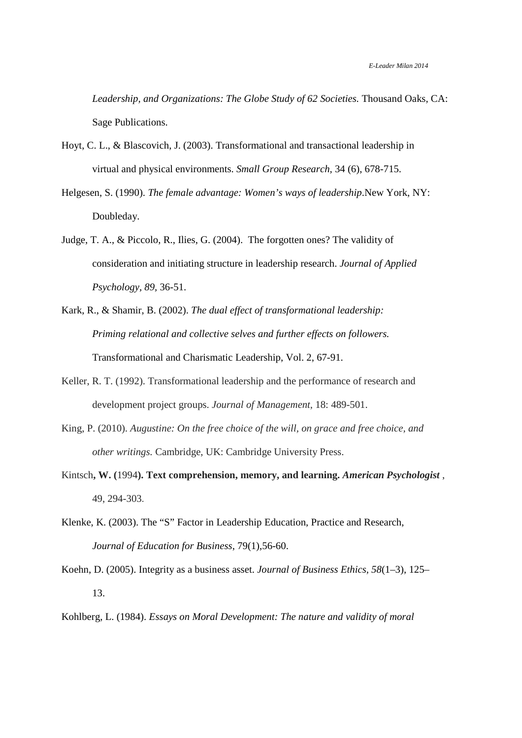*Leadership, and Organizations: The Globe Study of 62 Societies.* Thousand Oaks, CA: Sage Publications.

- Hoyt, C. L., & Blascovich, J. (2003). Transformational and transactional leadership in virtual and physical environments. *Small Group Research,* 34 (6), 678-715.
- Helgesen, S. (1990). *The female advantage: Women's ways of leadership*.New York, NY: Doubleday.
- Judge, T. A., & Piccolo, R., Ilies, G. (2004). The forgotten ones? The validity of consideration and initiating structure in leadership research. *Journal of Applied Psychology, 89,* 36-51.
- Kark, R., & Shamir, B. (2002). *The dual effect of transformational leadership: Priming relational and collective selves and further effects on followers.*  Transformational and Charismatic Leadership, Vol. 2, 67-91.
- Keller, R. T. (1992). Transformational leadership and the performance of research and development project groups. *Journal of Management,* 18: 489-501.
- King, P. (2010). *Augustine: On the free choice of the will, on grace and free choice, and other writings.* Cambridge, UK: Cambridge University Press.
- Kintsch**, W. (**1994**). Text comprehension, memory, and learning.** *American Psychologist* , 49, 294-303.
- Klenke, K. (2003). The "S" Factor in Leadership Education, Practice and Research, *Journal of Education for Business*, 79(1),56-60.

Koehn, D. (2005). Integrity as a business asset. *Journal of Business Ethics, 58*(1–3), 125– 13.

Kohlberg, L. (1984). *Essays on Moral Development: The nature and validity of moral*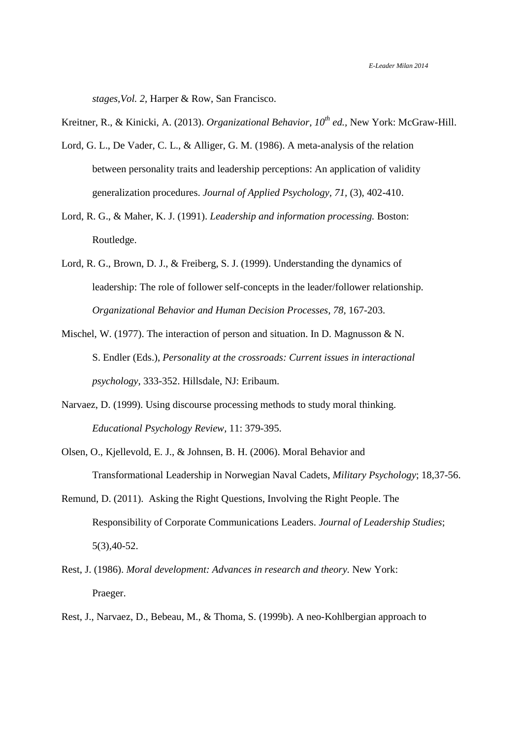*stages,Vol. 2,* Harper & Row, San Francisco.

Kreitner, R., & Kinicki, A. (2013). *Organizational Behavior, 10th ed.,* New York: McGraw-Hill.

- Lord, G. L., De Vader, C. L., & Alliger, G. M. (1986). A meta-analysis of the relation between personality traits and leadership perceptions: An application of validity generalization procedures. *Journal of Applied Psychology, 71,* (3), 402-410.
- Lord, R. G., & Maher, K. J. (1991). *Leadership and information processing.* Boston: Routledge.
- Lord, R. G., Brown, D. J., & Freiberg, S. J. (1999). Understanding the dynamics of leadership: The role of follower self-concepts in the leader/follower relationship. *Organizational Behavior and Human Decision Processes, 78,* 167-203.
- Mischel, W. (1977). The interaction of person and situation. In D. Magnusson & N. S. Endler (Eds.), *Personality at the crossroads: Current issues in interactional psychology,* 333-352. Hillsdale, NJ: Eribaum.
- Narvaez, D. (1999). Using discourse processing methods to study moral thinking. *Educational Psychology Review,* 11: 379-395.
- Olsen, O., Kjellevold, E. J., & Johnsen, B. H. (2006). Moral Behavior and Transformational Leadership in Norwegian Naval Cadets, *Military Psychology*; 18,37-56.
- Remund, D. (2011). Asking the Right Questions, Involving the Right People. The Responsibility of Corporate Communications Leaders. *Journal of Leadership Studies*; 5(3),40-52.
- Rest, J. (1986). *Moral development: Advances in research and theory.* New York: Praeger.
- Rest, J., Narvaez, D., Bebeau, M., & Thoma, S. (1999b). A neo-Kohlbergian approach to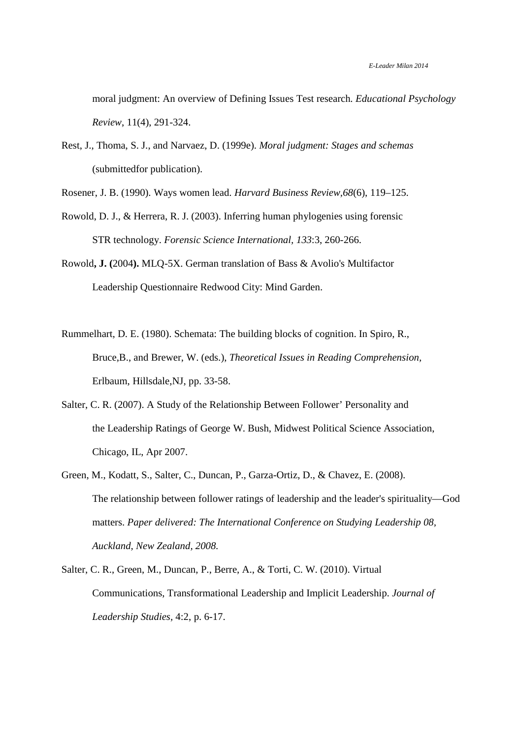moral judgment: An overview of Defining Issues Test research*. Educational Psychology Review*, 11(4), 291-324.

- Rest, J., Thoma, S. J., and Narvaez, D. (1999e). *Moral judgment: Stages and schemas*  (submittedfor publication).
- Rosener, J. B. (1990). Ways women lead. *Harvard Business Review,68*(6), 119–125.
- Rowold, D. J., & Herrera, R. J. (2003). Inferring human phylogenies using forensic STR technology. *Forensic Science International, 133*:3, 260-266.

Rowold**, J. (**2004**).** MLQ-5X. German translation of Bass & Avolio's Multifactor Leadership Questionnaire Redwood City: Mind Garden.

- Rummelhart, D. E. (1980). Schemata: The building blocks of cognition. In Spiro, R., Bruce,B., and Brewer, W. (eds.), *Theoretical Issues in Reading Comprehension,*  Erlbaum, Hillsdale,NJ, pp. 33-58.
- Salter, C. R. (2007). A Study of the Relationship Between Follower' Personality and the Leadership Ratings of George W. Bush, Midwest Political Science Association, Chicago, IL, Apr 2007.
- Green, M., Kodatt, S., Salter, C., Duncan, P., Garza-Ortiz, D., & Chavez, E. (2008). The relationship between follower ratings of leadership and the leader's spirituality—God matters. *Paper delivered: The International Conference on Studying Leadership 08, Auckland, New Zealand, 2008.*
- Salter, C. R., Green, M., Duncan, P., Berre, A., & Torti, C. W. (2010). Virtual Communications, Transformational Leadership and Implicit Leadership. *Journal of Leadership Studies,* 4:2, p. 6-17.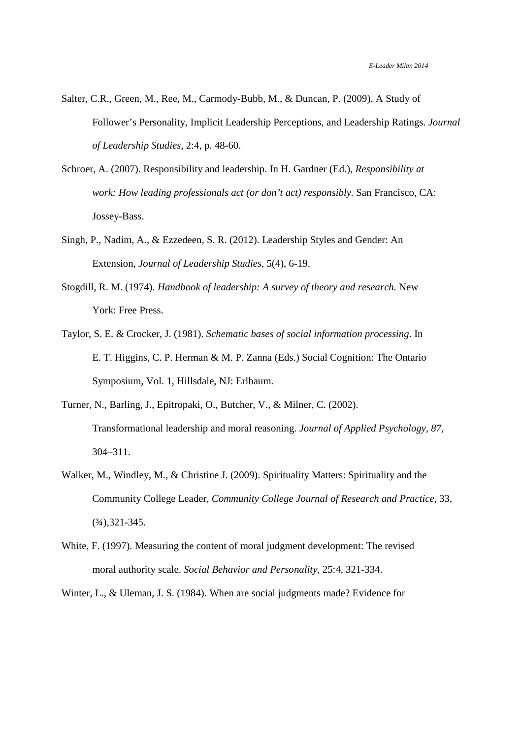- Salter, C.R., Green, M., Ree, M., Carmody-Bubb, M., & Duncan, P. (2009). A Study of Follower's Personality, Implicit Leadership Perceptions, and Leadership Ratings. *Journal of Leadership Studies,* 2:4, p. 48-60.
- Schroer, A. (2007). Responsibility and leadership. In H. Gardner (Ed.), *Responsibility at work: How leading professionals act (or don't act) responsibly. San Francisco, CA:* Jossey-Bass.
- Singh, P., Nadim, A., & Ezzedeen, S. R. (2012). Leadership Styles and Gender: An Extension, *Journal of Leadership Studies*, 5(4), 6-19.
- Stogdill, R. M. (1974). *Handbook of leadership: A survey of theory and research.* New York: Free Press.
- Taylor, S. E. & Crocker, J. (1981). *Schematic bases of social information processing.* In E. T. Higgins, C. P. Herman & M. P. Zanna (Eds.) Social Cognition: The Ontario Symposium, Vol. 1, Hillsdale, NJ: Erlbaum.
- Turner, N., Barling, J., Epitropaki, O., Butcher, V., & Milner, C. (2002). Transformational leadership and moral reasoning. *Journal of Applied Psychology, 87,*  304–311.
- Walker, M., Windley, M., & Christine J. (2009). Spirituality Matters: Spirituality and the Community College Leader, *Community College Journal of Research and Practice*, 33,  $(3/4)$ , 321-345.
- White, F. (1997). Measuring the content of moral judgment development: The revised moral authority scale. *Social Behavior and Personality,* 25:4, 321-334.
- Winter, L., & Uleman, J. S. (1984). When are social judgments made? Evidence for